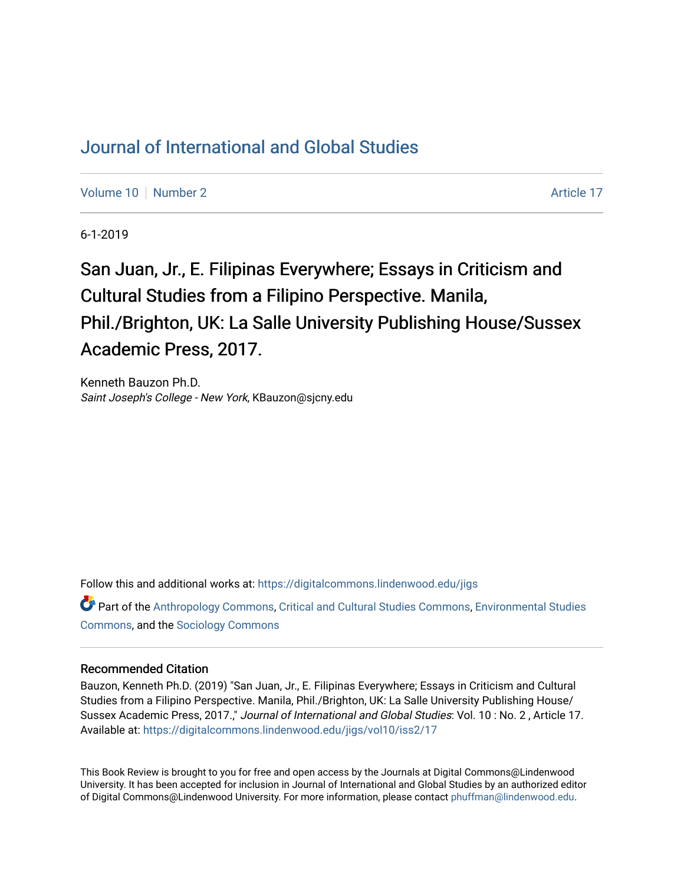## [Journal of International and Global Studies](https://digitalcommons.lindenwood.edu/jigs)

[Volume 10](https://digitalcommons.lindenwood.edu/jigs/vol10) [Number 2](https://digitalcommons.lindenwood.edu/jigs/vol10/iss2) Article 17

6-1-2019

San Juan, Jr., E. Filipinas Everywhere; Essays in Criticism and Cultural Studies from a Filipino Perspective. Manila, Phil./Brighton, UK: La Salle University Publishing House/Sussex Academic Press, 2017.

Kenneth Bauzon Ph.D. Saint Joseph's College - New York, KBauzon@sjcny.edu

Follow this and additional works at: [https://digitalcommons.lindenwood.edu/jigs](https://digitalcommons.lindenwood.edu/jigs?utm_source=digitalcommons.lindenwood.edu%2Fjigs%2Fvol10%2Fiss2%2F17&utm_medium=PDF&utm_campaign=PDFCoverPages) 

Part of the [Anthropology Commons](http://network.bepress.com/hgg/discipline/318?utm_source=digitalcommons.lindenwood.edu%2Fjigs%2Fvol10%2Fiss2%2F17&utm_medium=PDF&utm_campaign=PDFCoverPages), [Critical and Cultural Studies Commons](http://network.bepress.com/hgg/discipline/328?utm_source=digitalcommons.lindenwood.edu%2Fjigs%2Fvol10%2Fiss2%2F17&utm_medium=PDF&utm_campaign=PDFCoverPages), [Environmental Studies](http://network.bepress.com/hgg/discipline/1333?utm_source=digitalcommons.lindenwood.edu%2Fjigs%2Fvol10%2Fiss2%2F17&utm_medium=PDF&utm_campaign=PDFCoverPages)  [Commons](http://network.bepress.com/hgg/discipline/1333?utm_source=digitalcommons.lindenwood.edu%2Fjigs%2Fvol10%2Fiss2%2F17&utm_medium=PDF&utm_campaign=PDFCoverPages), and the [Sociology Commons](http://network.bepress.com/hgg/discipline/416?utm_source=digitalcommons.lindenwood.edu%2Fjigs%2Fvol10%2Fiss2%2F17&utm_medium=PDF&utm_campaign=PDFCoverPages)

## Recommended Citation

Bauzon, Kenneth Ph.D. (2019) "San Juan, Jr., E. Filipinas Everywhere; Essays in Criticism and Cultural Studies from a Filipino Perspective. Manila, Phil./Brighton, UK: La Salle University Publishing House/ Sussex Academic Press, 2017.," Journal of International and Global Studies: Vol. 10: No. 2, Article 17. Available at: [https://digitalcommons.lindenwood.edu/jigs/vol10/iss2/17](https://digitalcommons.lindenwood.edu/jigs/vol10/iss2/17?utm_source=digitalcommons.lindenwood.edu%2Fjigs%2Fvol10%2Fiss2%2F17&utm_medium=PDF&utm_campaign=PDFCoverPages) 

This Book Review is brought to you for free and open access by the Journals at Digital Commons@Lindenwood University. It has been accepted for inclusion in Journal of International and Global Studies by an authorized editor of Digital Commons@Lindenwood University. For more information, please contact [phuffman@lindenwood.edu](mailto:phuffman@lindenwood.edu).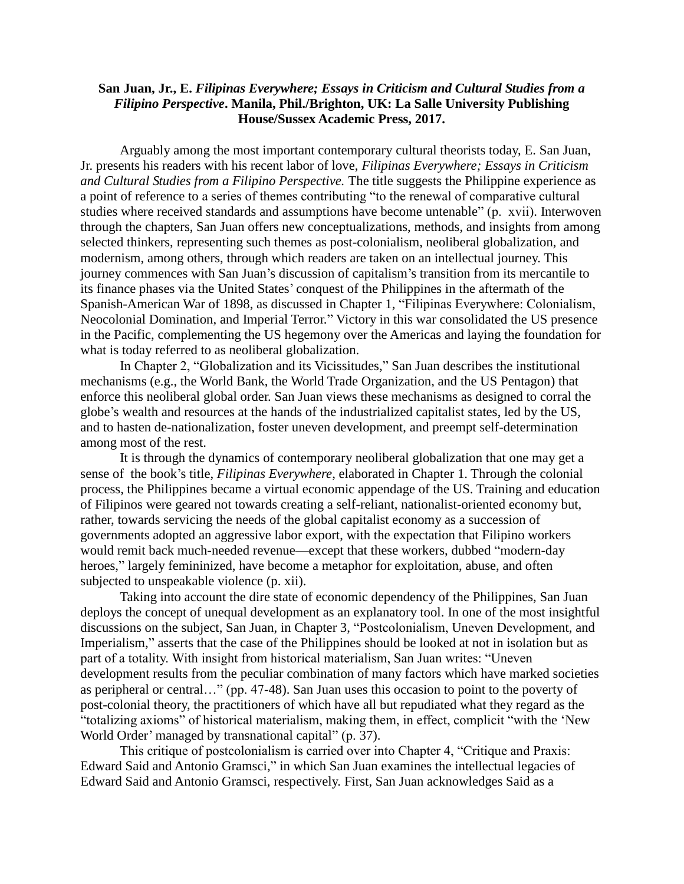## **San Juan, Jr., E.** *Filipinas Everywhere; Essays in Criticism and Cultural Studies from a Filipino Perspective***. Manila, Phil./Brighton, UK: La Salle University Publishing House/Sussex Academic Press, 2017.**

Arguably among the most important contemporary cultural theorists today, E. San Juan, Jr. presents his readers with his recent labor of love, *Filipinas Everywhere; Essays in Criticism and Cultural Studies from a Filipino Perspective.* The title suggests the Philippine experience as a point of reference to a series of themes contributing "to the renewal of comparative cultural studies where received standards and assumptions have become untenable" (p. xvii). Interwoven through the chapters, San Juan offers new conceptualizations, methods, and insights from among selected thinkers, representing such themes as post-colonialism, neoliberal globalization, and modernism, among others, through which readers are taken on an intellectual journey. This journey commences with San Juan's discussion of capitalism's transition from its mercantile to its finance phases via the United States' conquest of the Philippines in the aftermath of the Spanish-American War of 1898, as discussed in Chapter 1, "Filipinas Everywhere: Colonialism, Neocolonial Domination, and Imperial Terror." Victory in this war consolidated the US presence in the Pacific, complementing the US hegemony over the Americas and laying the foundation for what is today referred to as neoliberal globalization.

In Chapter 2, "Globalization and its Vicissitudes," San Juan describes the institutional mechanisms (e.g., the World Bank, the World Trade Organization, and the US Pentagon) that enforce this neoliberal global order. San Juan views these mechanisms as designed to corral the globe's wealth and resources at the hands of the industrialized capitalist states, led by the US, and to hasten de-nationalization, foster uneven development, and preempt self-determination among most of the rest.

It is through the dynamics of contemporary neoliberal globalization that one may get a sense of the book's title, *Filipinas Everywhere*, elaborated in Chapter 1. Through the colonial process, the Philippines became a virtual economic appendage of the US. Training and education of Filipinos were geared not towards creating a self-reliant, nationalist-oriented economy but, rather, towards servicing the needs of the global capitalist economy as a succession of governments adopted an aggressive labor export, with the expectation that Filipino workers would remit back much-needed revenue—except that these workers, dubbed "modern-day heroes," largely femininized, have become a metaphor for exploitation, abuse, and often subjected to unspeakable violence (p. xii).

Taking into account the dire state of economic dependency of the Philippines, San Juan deploys the concept of unequal development as an explanatory tool. In one of the most insightful discussions on the subject, San Juan, in Chapter 3, "Postcolonialism, Uneven Development, and Imperialism," asserts that the case of the Philippines should be looked at not in isolation but as part of a totality. With insight from historical materialism, San Juan writes: "Uneven development results from the peculiar combination of many factors which have marked societies as peripheral or central…" (pp. 47-48). San Juan uses this occasion to point to the poverty of post-colonial theory, the practitioners of which have all but repudiated what they regard as the "totalizing axioms" of historical materialism, making them, in effect, complicit "with the 'New World Order' managed by transnational capital" (p. 37).

This critique of postcolonialism is carried over into Chapter 4, "Critique and Praxis: Edward Said and Antonio Gramsci," in which San Juan examines the intellectual legacies of Edward Said and Antonio Gramsci, respectively. First, San Juan acknowledges Said as a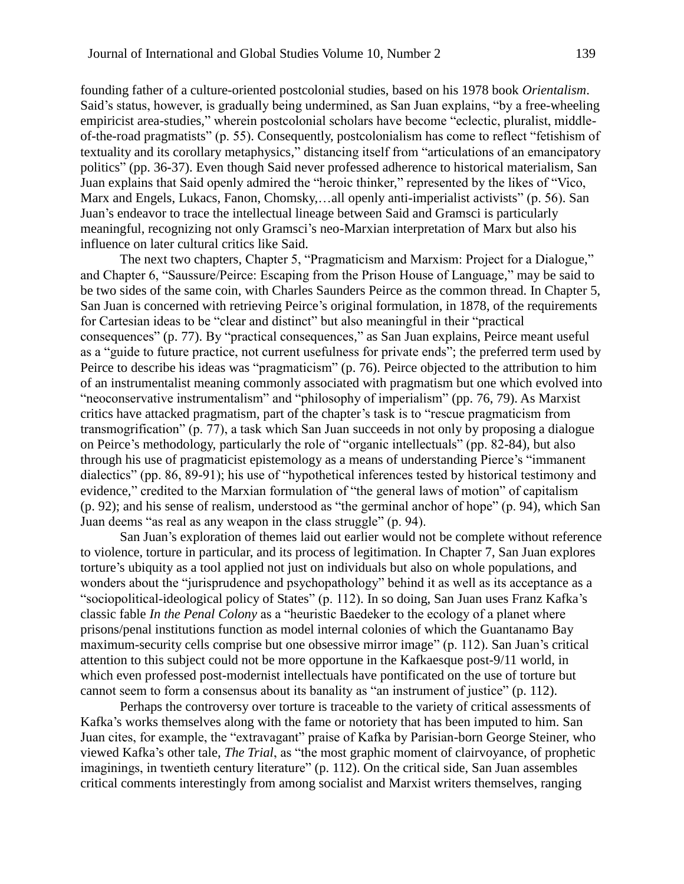founding father of a culture-oriented postcolonial studies, based on his 1978 book *Orientalism*. Said's status, however, is gradually being undermined, as San Juan explains, "by a free-wheeling empiricist area-studies," wherein postcolonial scholars have become "eclectic, pluralist, middleof-the-road pragmatists" (p. 55). Consequently, postcolonialism has come to reflect "fetishism of textuality and its corollary metaphysics," distancing itself from "articulations of an emancipatory politics" (pp. 36-37). Even though Said never professed adherence to historical materialism, San Juan explains that Said openly admired the "heroic thinker," represented by the likes of "Vico, Marx and Engels, Lukacs, Fanon, Chomsky,…all openly anti-imperialist activists" (p. 56). San Juan's endeavor to trace the intellectual lineage between Said and Gramsci is particularly meaningful, recognizing not only Gramsci's neo-Marxian interpretation of Marx but also his influence on later cultural critics like Said.

The next two chapters, Chapter 5, "Pragmaticism and Marxism: Project for a Dialogue," and Chapter 6, "Saussure/Peirce: Escaping from the Prison House of Language," may be said to be two sides of the same coin, with Charles Saunders Peirce as the common thread. In Chapter 5, San Juan is concerned with retrieving Peirce's original formulation, in 1878, of the requirements for Cartesian ideas to be "clear and distinct" but also meaningful in their "practical consequences" (p. 77). By "practical consequences," as San Juan explains, Peirce meant useful as a "guide to future practice, not current usefulness for private ends"; the preferred term used by Peirce to describe his ideas was "pragmaticism" (p. 76). Peirce objected to the attribution to him of an instrumentalist meaning commonly associated with pragmatism but one which evolved into "neoconservative instrumentalism" and "philosophy of imperialism" (pp. 76, 79). As Marxist critics have attacked pragmatism, part of the chapter's task is to "rescue pragmaticism from transmogrification" (p. 77), a task which San Juan succeeds in not only by proposing a dialogue on Peirce's methodology, particularly the role of "organic intellectuals" (pp. 82-84), but also through his use of pragmaticist epistemology as a means of understanding Pierce's "immanent dialectics" (pp. 86, 89-91); his use of "hypothetical inferences tested by historical testimony and evidence," credited to the Marxian formulation of "the general laws of motion" of capitalism (p. 92); and his sense of realism, understood as "the germinal anchor of hope" (p. 94), which San Juan deems "as real as any weapon in the class struggle" (p. 94).

San Juan's exploration of themes laid out earlier would not be complete without reference to violence, torture in particular, and its process of legitimation. In Chapter 7, San Juan explores torture's ubiquity as a tool applied not just on individuals but also on whole populations, and wonders about the "jurisprudence and psychopathology" behind it as well as its acceptance as a "sociopolitical-ideological policy of States" (p. 112). In so doing, San Juan uses Franz Kafka's classic fable *In the Penal Colony* as a "heuristic Baedeker to the ecology of a planet where prisons/penal institutions function as model internal colonies of which the Guantanamo Bay maximum-security cells comprise but one obsessive mirror image" (p. 112). San Juan's critical attention to this subject could not be more opportune in the Kafkaesque post-9/11 world, in which even professed post-modernist intellectuals have pontificated on the use of torture but cannot seem to form a consensus about its banality as "an instrument of justice" (p. 112).

Perhaps the controversy over torture is traceable to the variety of critical assessments of Kafka's works themselves along with the fame or notoriety that has been imputed to him. San Juan cites, for example, the "extravagant" praise of Kafka by Parisian-born George Steiner, who viewed Kafka's other tale, *The Trial*, as "the most graphic moment of clairvoyance, of prophetic imaginings, in twentieth century literature" (p. 112). On the critical side, San Juan assembles critical comments interestingly from among socialist and Marxist writers themselves, ranging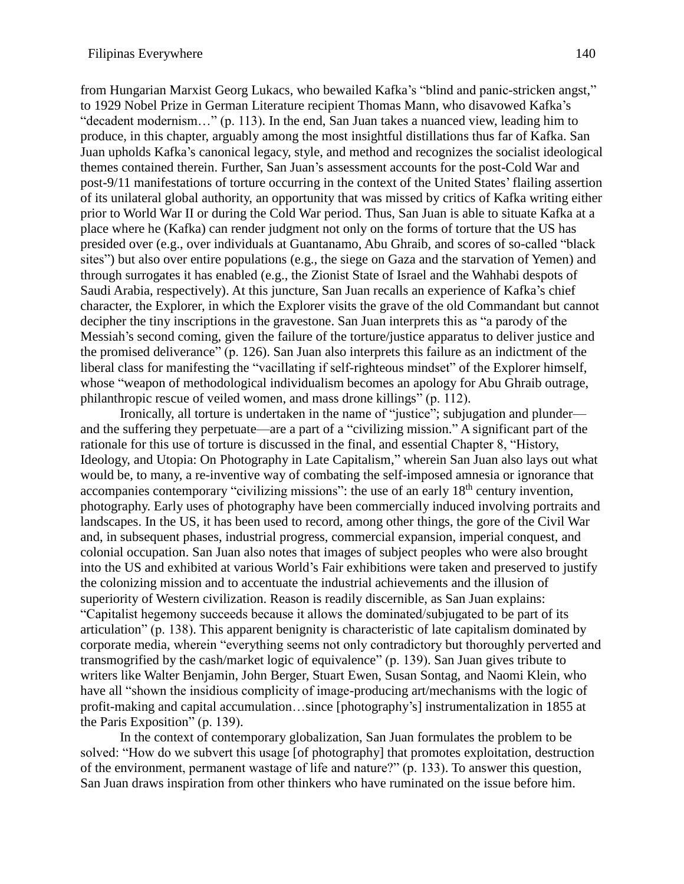from Hungarian Marxist Georg Lukacs, who bewailed Kafka's "blind and panic-stricken angst," to 1929 Nobel Prize in German Literature recipient Thomas Mann, who disavowed Kafka's "decadent modernism…" (p. 113). In the end, San Juan takes a nuanced view, leading him to produce, in this chapter, arguably among the most insightful distillations thus far of Kafka. San Juan upholds Kafka's canonical legacy, style, and method and recognizes the socialist ideological themes contained therein. Further, San Juan's assessment accounts for the post-Cold War and post-9/11 manifestations of torture occurring in the context of the United States' flailing assertion of its unilateral global authority, an opportunity that was missed by critics of Kafka writing either prior to World War II or during the Cold War period. Thus, San Juan is able to situate Kafka at a place where he (Kafka) can render judgment not only on the forms of torture that the US has presided over (e.g., over individuals at Guantanamo, Abu Ghraib, and scores of so-called "black sites") but also over entire populations (e.g., the siege on Gaza and the starvation of Yemen) and through surrogates it has enabled (e.g., the Zionist State of Israel and the Wahhabi despots of Saudi Arabia, respectively). At this juncture, San Juan recalls an experience of Kafka's chief character, the Explorer, in which the Explorer visits the grave of the old Commandant but cannot decipher the tiny inscriptions in the gravestone. San Juan interprets this as "a parody of the Messiah's second coming, given the failure of the torture/justice apparatus to deliver justice and the promised deliverance" (p. 126). San Juan also interprets this failure as an indictment of the liberal class for manifesting the "vacillating if self-righteous mindset" of the Explorer himself, whose "weapon of methodological individualism becomes an apology for Abu Ghraib outrage, philanthropic rescue of veiled women, and mass drone killings" (p. 112).

Ironically, all torture is undertaken in the name of "justice"; subjugation and plunder and the suffering they perpetuate—are a part of a "civilizing mission." A significant part of the rationale for this use of torture is discussed in the final, and essential Chapter 8, "History, Ideology, and Utopia: On Photography in Late Capitalism," wherein San Juan also lays out what would be, to many, a re-inventive way of combating the self-imposed amnesia or ignorance that accompanies contemporary "civilizing missions": the use of an early 18<sup>th</sup> century invention, photography. Early uses of photography have been commercially induced involving portraits and landscapes. In the US, it has been used to record, among other things, the gore of the Civil War and, in subsequent phases, industrial progress, commercial expansion, imperial conquest, and colonial occupation. San Juan also notes that images of subject peoples who were also brought into the US and exhibited at various World's Fair exhibitions were taken and preserved to justify the colonizing mission and to accentuate the industrial achievements and the illusion of superiority of Western civilization. Reason is readily discernible, as San Juan explains: "Capitalist hegemony succeeds because it allows the dominated/subjugated to be part of its articulation" (p. 138). This apparent benignity is characteristic of late capitalism dominated by corporate media, wherein "everything seems not only contradictory but thoroughly perverted and transmogrified by the cash/market logic of equivalence" (p. 139). San Juan gives tribute to writers like Walter Benjamin, John Berger, Stuart Ewen, Susan Sontag, and Naomi Klein, who have all "shown the insidious complicity of image-producing art/mechanisms with the logic of profit-making and capital accumulation…since [photography's] instrumentalization in 1855 at the Paris Exposition" (p. 139).

In the context of contemporary globalization, San Juan formulates the problem to be solved: "How do we subvert this usage [of photography] that promotes exploitation, destruction of the environment, permanent wastage of life and nature?" (p. 133). To answer this question, San Juan draws inspiration from other thinkers who have ruminated on the issue before him.